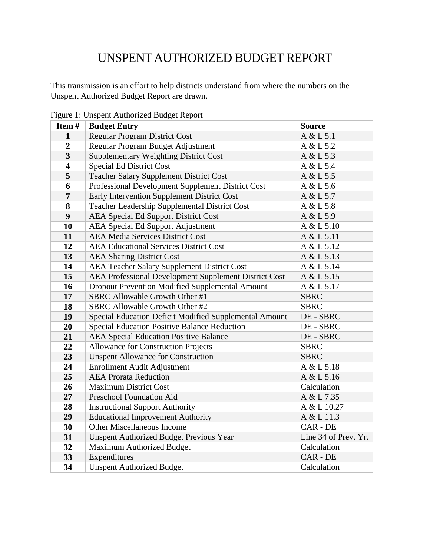## UNSPENT AUTHORIZED BUDGET REPORT

This transmission is an effort to help districts understand from where the numbers on the Unspent Authorized Budget Report are drawn.

| Item#                   | <b>Budget Entry</b>                                    | <b>Source</b>        |
|-------------------------|--------------------------------------------------------|----------------------|
| $\mathbf{1}$            | <b>Regular Program District Cost</b>                   | A & L 5.1            |
| $\overline{2}$          | Regular Program Budget Adjustment                      | A & L 5.2            |
| $\overline{\mathbf{3}}$ | <b>Supplementary Weighting District Cost</b>           | A & L 5.3            |
| $\overline{\mathbf{4}}$ | <b>Special Ed District Cost</b>                        | A & L 5.4            |
| 5                       | <b>Teacher Salary Supplement District Cost</b>         | A & L 5.5            |
| 6                       | Professional Development Supplement District Cost      | A & L 5.6            |
| $\overline{7}$          | Early Intervention Supplement District Cost            | A & L 5.7            |
| 8                       | Teacher Leadership Supplemental District Cost          | A & L 5.8            |
| 9                       | <b>AEA Special Ed Support District Cost</b>            | A & L 5.9            |
| 10                      | <b>AEA Special Ed Support Adjustment</b>               | A & L 5.10           |
| 11                      | <b>AEA Media Services District Cost</b>                | A & L 5.11           |
| 12                      | <b>AEA Educational Services District Cost</b>          | A & L 5.12           |
| 13                      | <b>AEA Sharing District Cost</b>                       | A & L 5.13           |
| 14                      | <b>AEA Teacher Salary Supplement District Cost</b>     | A & L 5.14           |
| 15                      | AEA Professional Development Supplement District Cost  | A & L 5.15           |
| 16                      | Dropout Prevention Modified Supplemental Amount        | A & L 5.17           |
| 17                      | SBRC Allowable Growth Other #1                         | <b>SBRC</b>          |
| 18                      | SBRC Allowable Growth Other #2                         | <b>SBRC</b>          |
| 19                      | Special Education Deficit Modified Supplemental Amount | DE - SBRC            |
| 20                      | <b>Special Education Positive Balance Reduction</b>    | DE - SBRC            |
| 21                      | <b>AEA Special Education Positive Balance</b>          | DE - SBRC            |
| 22                      | <b>Allowance for Construction Projects</b>             | <b>SBRC</b>          |
| 23                      | <b>Unspent Allowance for Construction</b>              | <b>SBRC</b>          |
| 24                      | Enrollment Audit Adjustment                            | A & L 5.18           |
| 25                      | <b>AEA Prorata Reduction</b>                           | A & L 5.16           |
| 26                      | <b>Maximum District Cost</b>                           | Calculation          |
| 27                      | Preschool Foundation Aid                               | A & L 7.35           |
| 28                      | <b>Instructional Support Authority</b>                 | A & L 10.27          |
| 29                      | <b>Educational Improvement Authority</b>               | A & L 11.3           |
| 30                      | <b>Other Miscellaneous Income</b>                      | CAR - DE             |
| 31                      | <b>Unspent Authorized Budget Previous Year</b>         | Line 34 of Prev. Yr. |
| 32                      | <b>Maximum Authorized Budget</b>                       | Calculation          |
| 33                      | Expenditures                                           | CAR - DE             |
| 34                      | <b>Unspent Authorized Budget</b>                       | Calculation          |

Figure 1: Unspent Authorized Budget Report